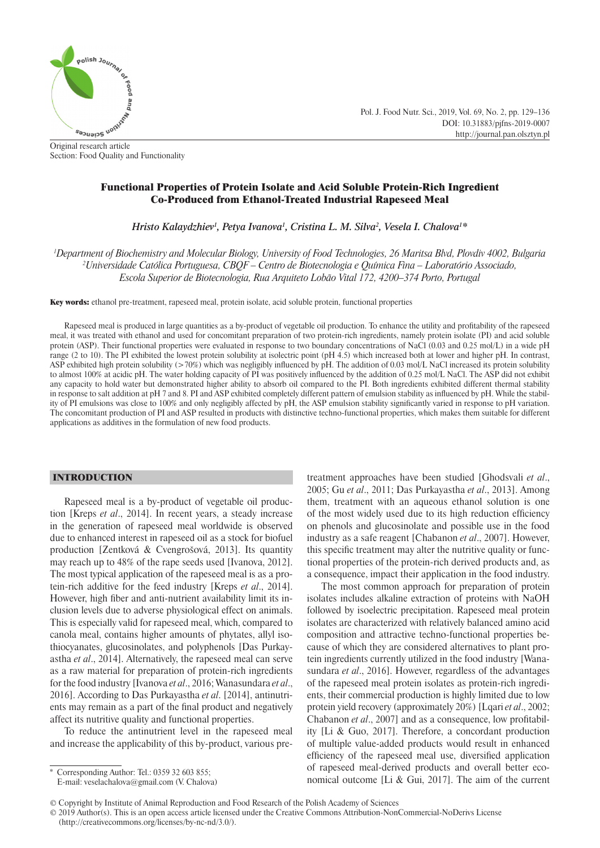

Section: Food Quality and Functionality

Functional Properties of Protein Isolate and Acid Soluble Protein-Rich Ingredient Co-Produced from Ethanol-Treated Industrial Rapeseed Meal

*Hristo Kalaydzhiev<sup>1</sup>, Petya Ivanova<sup>1</sup>, Cristina L. M. Silva<sup>2</sup>, Vesela I. Chalova<sup>1</sup>\** 

*1 Department of Biochemistry and Molecular Biology, University of Food Technologies, 26 Maritsa Blvd, Plovdiv 4002, Bulgaria 2 Universidade Católica Portuguesa, CBQF – Centro de Biotecnologia e Química Fina – Laboratório Associado, Escola Superior de Biotecnologia, Rua Arquiteto Lobão Vital 172, 4200–374 Porto, Portugal*

Key words: ethanol pre-treatment, rapeseed meal, protein isolate, acid soluble protein, functional properties

Rapeseed meal is produced in large quantities as a by-product of vegetable oil production. To enhance the utility and profitability of the rapeseed meal, it was treated with ethanol and used for concomitant preparation of two protein-rich ingredients, namely protein isolate (PI) and acid soluble protein (ASP). Their functional properties were evaluated in response to two boundary concentrations of NaCl (0.03 and 0.25 mol/L) in a wide pH range (2 to 10). The PI exhibited the lowest protein solubility at isolectric point (pH 4.5) which increased both at lower and higher pH. In contrast, ASP exhibited high protein solubility ( $>70\%$ ) which was negligibly influenced by pH. The addition of 0.03 mol/L NaCl increased its protein solubility to almost 100% at acidic pH. The water holding capacity of PI was positively influenced by the addition of 0.25 mol/L NaCl. The ASP did not exhibit any capacity to hold water but demonstrated higher ability to absorb oil compared to the PI. Both ingredients exhibited different thermal stability in response to salt addition at pH 7 and 8. PI and ASP exhibited completely different pattern of emulsion stability as influenced by pH. While the stability of PI emulsions was close to 100% and only negligibly affected by pH, the ASP emulsion stability significantly varied in response to pH variation. The concomitant production of PI and ASP resulted in products with distinctive techno-functional properties, which makes them suitable for different applications as additives in the formulation of new food products.

## INTRODUCTION

Rapeseed meal is a by-product of vegetable oil production [Kreps *et al*., 2014]. In recent years, a steady increase in the generation of rapeseed meal worldwide is observed due to enhanced interest in rapeseed oil as a stock for biofuel production [Zentková & Cvengrošová, 2013]. Its quantity may reach up to 48% of the rape seeds used [Ivanova, 2012]. The most typical application of the rapeseed meal is as a protein-rich additive for the feed industry [Kreps *et al*., 2014]. However, high fiber and anti-nutrient availability limit its inclusion levels due to adverse physiological effect on animals. This is especially valid for rapeseed meal, which, compared to canola meal, contains higher amounts of phytates, allyl isothiocyanates, glucosinolates, and polyphenols [Das Purkayastha *et al*., 2014]. Alternatively, the rapeseed meal can serve as a raw material for preparation of protein-rich ingredients for the food industry [Ivanova *et al*., 2016; Wanasundara *et al*., 2016]. According to Das Purkayastha *et al*. [2014], antinutrients may remain as a part of the final product and negatively affect its nutritive quality and functional properties.

To reduce the antinutrient level in the rapeseed meal and increase the applicability of this by-product, various pretreatment approaches have been studied [Ghodsvali *et al*., 2005; Gu *et al*., 2011; Das Purkayastha *et al*., 2013]. Among them, treatment with an aqueous ethanol solution is one of the most widely used due to its high reduction efficiency on phenols and glucosinolate and possible use in the food industry as a safe reagent [Chabanon *et al*., 2007]. However, this specific treatment may alter the nutritive quality or functional properties of the protein-rich derived products and, as a consequence, impact their application in the food industry.

Pol. J. Food Nutr. Sci., 2019, Vol. 69, No. 2, pp. 129–136

DOI: 10.31883/pjfns-2019-0007 http://journal.pan.olsztyn.pl

The most common approach for preparation of protein isolates includes alkaline extraction of proteins with NaOH followed by isoelectric precipitation. Rapeseed meal protein isolates are characterized with relatively balanced amino acid composition and attractive techno-functional properties because of which they are considered alternatives to plant protein ingredients currently utilized in the food industry [Wanasundara *et al*., 2016]. However, regardless of the advantages of the rapeseed meal protein isolates as protein-rich ingredients, their commercial production is highly limited due to low protein yield recovery (approximately 20%) [Lqari *et al*., 2002; Chabanon *et al.*, 2007] and as a consequence, low profitability [Li & Guo, 2017]. Therefore, a concordant production of multiple value-added products would result in enhanced efficiency of the rapeseed meal use, diversified application of rapeseed meal-derived products and overall better economical outcome [Li & Gui, 2017]. The aim of the current

© 2019 Author(s). This is an open access article licensed under the Creative Commons Attribution-NonCommercial-NoDerivs License (http://creativecommons.org/licenses/by-nc-nd/3.0/).

Corresponding Author: Tel.: 0359 32 603 855;

E-mail: veselachalova@gmail.com (V. Chalova)

<sup>©</sup> Copyright by Institute of Animal Reproduction and Food Research of the Polish Academy of Sciences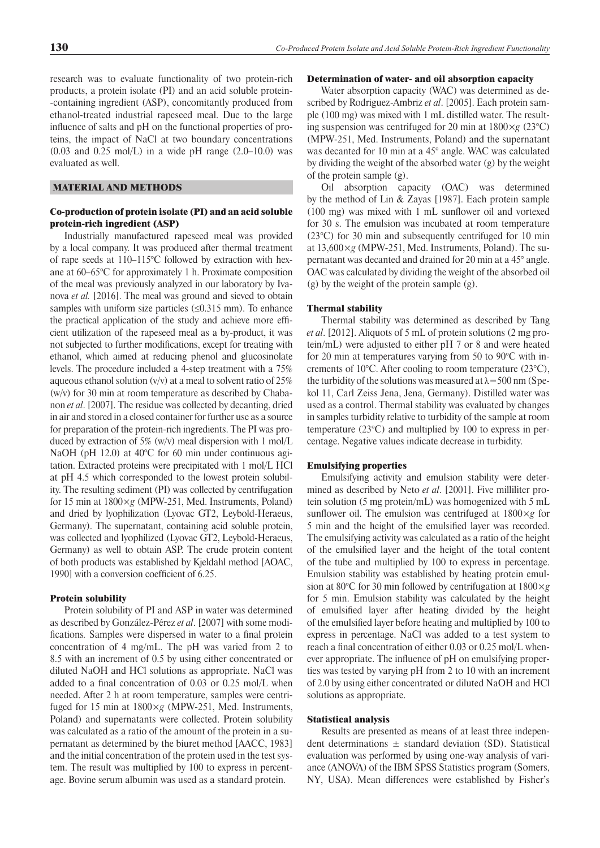research was to evaluate functionality of two protein-rich products, a protein isolate (PI) and an acid soluble protein- -containing ingredient (ASP), concomitantly produced from ethanol-treated industrial rapeseed meal. Due to the large influence of salts and pH on the functional properties of proteins, the impact of NaCl at two boundary concentrations  $(0.03$  and  $0.25$  mol/L) in a wide pH range  $(2.0-10.0)$  was evaluated as well.

# MATERIAL AND METHODS

# Co-production of protein isolate (PI) and an acid soluble protein-rich ingredient (ASP)

Industrially manufactured rapeseed meal was provided by a local company. It was produced after thermal treatment of rape seeds at 110–115°C followed by extraction with hexane at 60–65°C for approximately 1 h. Proximate composition of the meal was previously analyzed in our laboratory by Ivanova *et al.* [2016]. The meal was ground and sieved to obtain samples with uniform size particles  $(\leq 0.315$  mm). To enhance the practical application of the study and achieve more efficient utilization of the rapeseed meal as a by-product, it was not subjected to further modifications, except for treating with ethanol, which aimed at reducing phenol and glucosinolate levels. The procedure included a 4-step treatment with a 75% aqueous ethanol solution  $(v/v)$  at a meal to solvent ratio of 25% (w/v) for 30 min at room temperature as described by Chabanon *et al*. [2007]. The residue was collected by decanting, dried in air and stored in a closed container for further use as a source for preparation of the protein-rich ingredients. The PI was produced by extraction of 5% (w/v) meal dispersion with 1 mol/L NaOH (pH 12.0) at 40°C for 60 min under continuous agitation. Extracted proteins were precipitated with 1 mol/L HCl at pH 4.5 which corresponded to the lowest protein solubility. The resulting sediment (PI) was collected by centrifugation for 15 min at 1800×*g* (MPW-251, Med. Instruments, Poland) and dried by lyophilization (Lyovac GT2, Leybold-Heraeus, Germany). The supernatant, containing acid soluble protein, was collected and lyophilized (Lyovac GT2, Leybold-Heraeus, Germany) as well to obtain ASP. The crude protein content of both products was established by Kjeldahl method [AOAC, 1990] with a conversion coefficient of 6.25.

### Protein solubility

Protein solubility of PI and ASP in water was determined as described by González-Pérez *et al*. [2007] with some modifications. Samples were dispersed in water to a final protein concentration of 4 mg/mL. The pH was varied from 2 to 8.5 with an increment of 0.5 by using either concentrated or diluted NaOH and HCl solutions as appropriate. NaCl was added to a final concentration of  $0.03$  or  $0.25$  mol/L when needed. After 2 h at room temperature, samples were centrifuged for 15 min at 1800×*g* (MPW-251, Med. Instruments, Poland) and supernatants were collected. Protein solubility was calculated as a ratio of the amount of the protein in a supernatant as determined by the biuret method [AACC, 1983] and the initial concentration of the protein used in the test system. The result was multiplied by 100 to express in percentage. Bovine serum albumin was used as a standard protein.

### Determination of water- and oil absorption capacity

Water absorption capacity (WAC) was determined as described by Rodriguez-Ambriz *et al*. [2005]. Each protein sample (100 mg) was mixed with 1 mL distilled water. The resulting suspension was centrifuged for 20 min at 1800×*g* (23°C) (MPW-251, Med. Instruments, Poland) and the supernatant was decanted for 10 min at a 45° angle. WAC was calculated by dividing the weight of the absorbed water (g) by the weight of the protein sample (g).

Oil absorption capacity (OAC) was determined by the method of Lin & Zayas [1987]. Each protein sample  $(100 \text{ mg})$  was mixed with 1 mL sunflower oil and vortexed for 30 s. The emulsion was incubated at room temperature (23°C) for 30 min and subsequently centrifuged for 10 min at 13,600×*g* (MPW-251, Med. Instruments, Poland). The supernatant was decanted and drained for 20 min at a 45° angle. OAC was calculated by dividing the weight of the absorbed oil (g) by the weight of the protein sample (g).

## Thermal stability

Thermal stability was determined as described by Tang *et al*. [2012]. Aliquots of 5 mL of protein solutions (2 mg protein/mL) were adjusted to either pH 7 or 8 and were heated for 20 min at temperatures varying from 50 to 90°C with increments of 10°C. After cooling to room temperature (23°C), the turbidity of the solutions was measured at  $\lambda$  = 500 nm (Spekol 11, Carl Zeiss Jena, Jena, Germany). Distilled water was used as a control. Thermal stability was evaluated by changes in samples turbidity relative to turbidity of the sample at room temperature (23°C) and multiplied by 100 to express in percentage. Negative values indicate decrease in turbidity.

#### Emulsifying properties

Emulsifying activity and emulsion stability were determined as described by Neto *et al*. [2001]. Five milliliter protein solution (5 mg protein/mL) was homogenized with 5 mL sunflower oil. The emulsion was centrifuged at  $1800 \times g$  for 5 min and the height of the emulsified layer was recorded. The emulsifying activity was calculated as a ratio of the height of the emulsified layer and the height of the total content of the tube and multiplied by 100 to express in percentage. Emulsion stability was established by heating protein emulsion at 80°C for 30 min followed by centrifugation at 1800×*g* for 5 min. Emulsion stability was calculated by the height of emulsified layer after heating divided by the height of the emulsified layer before heating and multiplied by 100 to express in percentage. NaCl was added to a test system to reach a final concentration of either 0.03 or 0.25 mol/L whenever appropriate. The influence of pH on emulsifying properties was tested by varying pH from 2 to 10 with an increment of 2.0 by using either concentrated or diluted NaOH and HCl solutions as appropriate.

#### Statistical analysis

Results are presented as means of at least three independent determinations  $\pm$  standard deviation (SD). Statistical evaluation was performed by using one-way analysis of variance (ANOVA) of the IBM SPSS Statistics program (Somers, NY, USA). Mean differences were established by Fisher's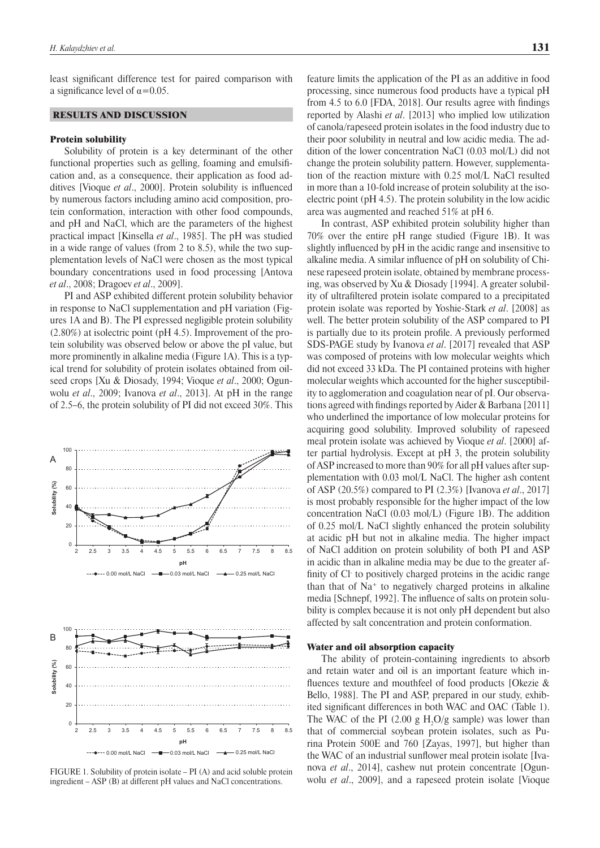least significant difference test for paired comparison with a significance level of  $\alpha$ =0.05.

## RESULTS AND DISCUSSION

#### Protein solubility

Solubility of protein is a key determinant of the other functional properties such as gelling, foaming and emulsification and, as a consequence, their application as food additives [Vioque *et al.*, 2000]. Protein solubility is influenced by numerous factors including amino acid composition, protein conformation, interaction with other food compounds, and pH and NaCl, which are the parameters of the highest practical impact [Kinsella *et al*., 1985]. The pH was studied in a wide range of values (from 2 to 8.5), while the two supplementation levels of NaCl were chosen as the most typical boundary concentrations used in food processing [Antova *et al*., 2008; Dragoev *et al*., 2009].

PI and ASP exhibited different protein solubility behavior in response to NaCl supplementation and pH variation (Figures 1A and B). The PI expressed negligible protein solubility (2.80%) at isolectric point (pH 4.5). Improvement of the protein solubility was observed below or above the pI value, but more prominently in alkaline media (Figure 1A). This is a typical trend for solubility of protein isolates obtained from oilseed crops [Xu & Diosady, 1994; Vioque *et al*., 2000; Ogunwolu *et al*., 2009; Ivanova *et al*., 2013]. At pH in the range of 2.5–6, the protein solubility of PI did not exceed 30%. This



FIGURE 1. Solubility of protein isolate – PI (A) and acid soluble protein ingredient – ASP (B) at different pH values and NaCl concentrations.

feature limits the application of the PI as an additive in food processing, since numerous food products have a typical pH from  $4.5$  to  $6.0$  [FDA, 2018]. Our results agree with findings reported by Alashi *et al*. [2013] who implied low utilization of canola/rapeseed protein isolates in the food industry due to their poor solubility in neutral and low acidic media. The addition of the lower concentration NaCl (0.03 mol/L) did not change the protein solubility pattern. However, supplementation of the reaction mixture with 0.25 mol/L NaCl resulted in more than a 10-fold increase of protein solubility at the isoelectric point (pH 4.5). The protein solubility in the low acidic area was augmented and reached 51% at pH 6.

In contrast, ASP exhibited protein solubility higher than 70% over the entire pH range studied (Figure 1B). It was slightly influenced by pH in the acidic range and insensitive to alkaline media. A similar influence of pH on solubility of Chinese rapeseed protein isolate, obtained by membrane processing, was observed by Xu & Diosady [1994]. A greater solubility of ultrafiltered protein isolate compared to a precipitated protein isolate was reported by Yoshie-Stark *et al*. [2008] as well. The better protein solubility of the ASP compared to PI is partially due to its protein profile. A previously performed SDS-PAGE study by Ivanova *et al*. [2017] revealed that ASP was composed of proteins with low molecular weights which did not exceed 33 kDa. The PI contained proteins with higher molecular weights which accounted for the higher susceptibility to agglomeration and coagulation near of pI. Our observations agreed with findings reported by Aider & Barbana [2011] who underlined the importance of low molecular proteins for acquiring good solubility. Improved solubility of rapeseed meal protein isolate was achieved by Vioque *et al*. [2000] after partial hydrolysis. Except at pH 3, the protein solubility of ASP increased to more than 90% for all pH values after supplementation with 0.03 mol/L NaCl. The higher ash content of ASP (20.5%) compared to PI (2.3%) [Ivanova *et al*., 2017] is most probably responsible for the higher impact of the low concentration NaCl (0.03 mol/L) (Figure 1B). The addition of 0.25 mol/L NaCl slightly enhanced the protein solubility at acidic pH but not in alkaline media. The higher impact of NaCl addition on protein solubility of both PI and ASP in acidic than in alkaline media may be due to the greater affinity of Cl to positively charged proteins in the acidic range than that of Na+ to negatively charged proteins in alkaline media [Schnepf, 1992]. The influence of salts on protein solubility is complex because it is not only pH dependent but also affected by salt concentration and protein conformation.

## Water and oil absorption capacity

The ability of protein-containing ingredients to absorb and retain water and oil is an important feature which influences texture and mouthfeel of food products [Okezie  $\&$ Bello, 1988]. The PI and ASP, prepared in our study, exhibited significant differences in both WAC and OAC (Table 1). The WAC of the PI  $(2.00 \text{ g H}_2\text{O/g sample})$  was lower than that of commercial soybean protein isolates, such as Purina Protein 500E and 760 [Zayas, 1997], but higher than the WAC of an industrial sunflower meal protein isolate [Ivanova *et al*., 2014], cashew nut protein concentrate [Ogunwolu *et al*., 2009], and a rapeseed protein isolate [Vioque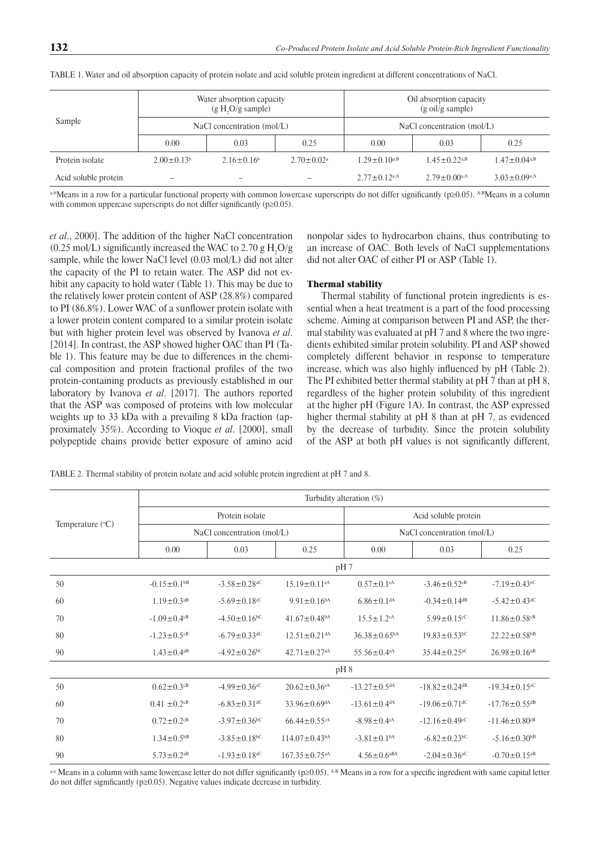| Sample               | Water absorption capacity<br>$(g H, O/g \text{ sample})$ |                   |                         | Oil absorption capacity<br>$(g \text{ oil/g sample})$ |                                |                                |  |
|----------------------|----------------------------------------------------------|-------------------|-------------------------|-------------------------------------------------------|--------------------------------|--------------------------------|--|
|                      | NaCl concentration (mol/L)                               |                   |                         | NaCl concentration (mol/L)                            |                                |                                |  |
|                      | 0.00                                                     | 0.03              | 0.25                    | 0.00                                                  | 0.03                           | 0.25                           |  |
| Protein isolate      | $2.00 \pm 0.13^b$                                        | $2.16 \pm 0.16^b$ | $2.70 \pm 0.02^{\circ}$ | $1.29 \pm 0.10^{a,B}$                                 | $1.45 \pm 0.22$ <sup>a,B</sup> | $1.47 \pm 0.04$ <sup>a,B</sup> |  |
| Acid soluble protein |                                                          |                   |                         | $2.77 \pm 0.12$ <sup>a,A</sup>                        | $2.79 \pm 0.00$ <sup>a,A</sup> | $3.03 \pm 0.09$ <sup>a,A</sup> |  |

TABLE 1. Water and oil absorption capacity of protein isolate and acid soluble protein ingredient at different concentrations of NaCl.

 $a$ -bMeans in a row for a particular functional property with common lowercase superscripts do not differ significantly (p $\geq 0.05$ ). A-BMeans in a column with common uppercase superscripts do not differ significantly ( $p\geq0.05$ ).

*et al*., 2000]. The addition of the higher NaCl concentration  $(0.25 \text{ mol/L})$  significantly increased the WAC to 2.70 g H<sub>2</sub>O/g sample, while the lower NaCl level (0.03 mol/L) did not alter the capacity of the PI to retain water. The ASP did not exhibit any capacity to hold water (Table 1). This may be due to the relatively lower protein content of ASP (28.8%) compared to PI (86.8%). Lower WAC of a sunflower protein isolate with a lower protein content compared to a similar protein isolate but with higher protein level was observed by Ivanova *et al*. [2014]. In contrast, the ASP showed higher OAC than PI (Table 1). This feature may be due to differences in the chemical composition and protein fractional profiles of the two protein-containing products as previously established in our laboratory by Ivanova *et al*. [2017]. The authors reported that the ASP was composed of proteins with low molecular weights up to 33 kDa with a prevailing 8 kDa fraction (approximately 35%). According to Vioque *et al*. [2000], small polypeptide chains provide better exposure of amino acid

nonpolar sides to hydrocarbon chains, thus contributing to an increase of OAC. Both levels of NaCl supplementations did not alter OAC of either PI or ASP (Table 1).

## Thermal stability

Thermal stability of functional protein ingredients is essential when a heat treatment is a part of the food processing scheme. Aiming at comparison between PI and ASP, the thermal stability was evaluated at pH 7 and 8 where the two ingredients exhibited similar protein solubility. PI and ASP showed completely different behavior in response to temperature increase, which was also highly influenced by pH (Table 2). The PI exhibited better thermal stability at pH 7 than at pH 8, regardless of the higher protein solubility of this ingredient at the higher pH (Figure 1A). In contrast, the ASP expressed higher thermal stability at pH 8 than at pH 7, as evidenced by the decrease of turbidity. Since the protein solubility of the ASP at both pH values is not significantly different,

TABLE 2. Thermal stability of protein isolate and acid soluble protein ingredient at pH 7 and 8.

| Temperature $(^{\circ}C)$ | Turbidity alteration (%)      |                                |                                 |                                |                                 |                                 |  |
|---------------------------|-------------------------------|--------------------------------|---------------------------------|--------------------------------|---------------------------------|---------------------------------|--|
|                           | Protein isolate               |                                |                                 | Acid soluble protein           |                                 |                                 |  |
|                           | NaCl concentration (mol/L)    |                                |                                 | NaCl concentration (mol/L)     |                                 |                                 |  |
|                           | 0.00                          | 0.03                           | 0.25                            | 0.00                           | 0.03                            | 0.25                            |  |
|                           | pH 7                          |                                |                                 |                                |                                 |                                 |  |
| 50                        | $-0.15 \pm 0.1$ <sup>bB</sup> | $-3.58 \pm 0.28$ <sup>aC</sup> | $15.19 \pm 0.11$ <sup>eA</sup>  | $0.57 \pm 0.1$ <sup>eA</sup>   | $-3.46 \pm 0.52$ <sup>eB</sup>  | $-7.19 \pm 0.43$ <sup>eC</sup>  |  |
| 60                        | $1.19 \pm 0.3$ <sup>aB</sup>  | $-5.69 \pm 0.18$ <sup>cC</sup> | $9.91 \pm 0.16^{bA}$            | $6.86 \pm 0.1$ <sup>dA</sup>   | $-0.34 \pm 0.14$ <sup>dB</sup>  | $-5.42 \pm 0.43$ <sup>dC</sup>  |  |
| 70                        | $-1.09 \pm 0.4$ <sup>cB</sup> | $-4.50 \pm 0.16$ <sup>bC</sup> | $41.67 \pm 0.48$ <sup>bA</sup>  | $15.5 \pm 1.2$ <sup>cA</sup>   | $5.99 \pm 0.15$ <sup>cC</sup>   | $11.86 \pm 0.58$ <sup>cB</sup>  |  |
| 80                        | $-1.23 \pm 0.5$ <sup>cB</sup> | $-6.79 \pm 0.33$ <sup>dC</sup> | $12.51 \pm 0.21$ <sup>dA</sup>  | $36.38 \pm 0.65^{bA}$          | $19.83 \pm 0.53$ <sup>bC</sup>  | $22.22 \pm 0.58$ <sup>bB</sup>  |  |
| 90                        | $1.43 \pm 0.4$ <sup>aB</sup>  | $-4.92 \pm 0.26$ <sup>bC</sup> | $42.71 \pm 0.27$ <sup>aA</sup>  | $55.56 \pm 0.4$ <sup>aA</sup>  | $35.44 \pm 0.25$ <sup>aC</sup>  | $26.98 \pm 0.16$ <sup>aB</sup>  |  |
|                           | pH 8                          |                                |                                 |                                |                                 |                                 |  |
| 50                        | $0.62 \pm 0.3$ <sup>cB</sup>  | $-4.99 \pm 0.36$ cC            | $20.62 \pm 0.36$ <sup>eA</sup>  | $-13.27 \pm 0.5$ <sup>dA</sup> | $-18.82 \pm 0.24$ <sup>dB</sup> | $-19.34 \pm 0.15$ <sup>eC</sup> |  |
| 60                        | $0.41 \pm 0.2$ <sup>cB</sup>  | $-6.83 \pm 0.31$ <sup>dC</sup> | $33.96 \pm 0.69$ <sup>dA</sup>  | $-13.61 \pm 0.4$ <sup>dA</sup> | $-19.06 \pm 0.71$ <sup>dC</sup> | $-17.76 \pm 0.55$ <sup>dB</sup> |  |
| 70                        | $0.72 \pm 0.2$ <sup>cB</sup>  | $-3.97 \pm 0.36$ <sup>bC</sup> | $66.44 \pm 0.55$ <sup>cA</sup>  | $-8.98 \pm 0.4$ <sup>cA</sup>  | $-12.16 \pm 0.49$ <sup>cC</sup> | $-11.46 \pm 0.80$ <sup>cB</sup> |  |
| 80                        | $1.34 \pm 0.5^{bB}$           | $-3.85 \pm 0.18$ bC            | $114.07 \pm 0.43$ <sup>bA</sup> | $-3.81 \pm 0.1bA$              | $-6.82 \pm 0.23$ <sup>bC</sup>  | $-5.16 \pm 0.30^{bB}$           |  |
| 90                        | $5.73 \pm 0.2$ <sup>aB</sup>  | $-1.93 \pm 0.18$ <sup>aC</sup> | $167.35 \pm 0.75$ <sup>aA</sup> | $4.56 \pm 0.6$ <sup>aBA</sup>  | $-2.04 \pm 0.36$ <sup>aC</sup>  | $-0.70 \pm 0.15$ <sup>aB</sup>  |  |

a-e Means in a column with same lowercase letter do not differ significantly (p≥0.05). A-B Means in a row for a specific ingredient with same capital letter do not differ significantly ( $p\geq 0.05$ ). Negative values indicate decrease in turbidity.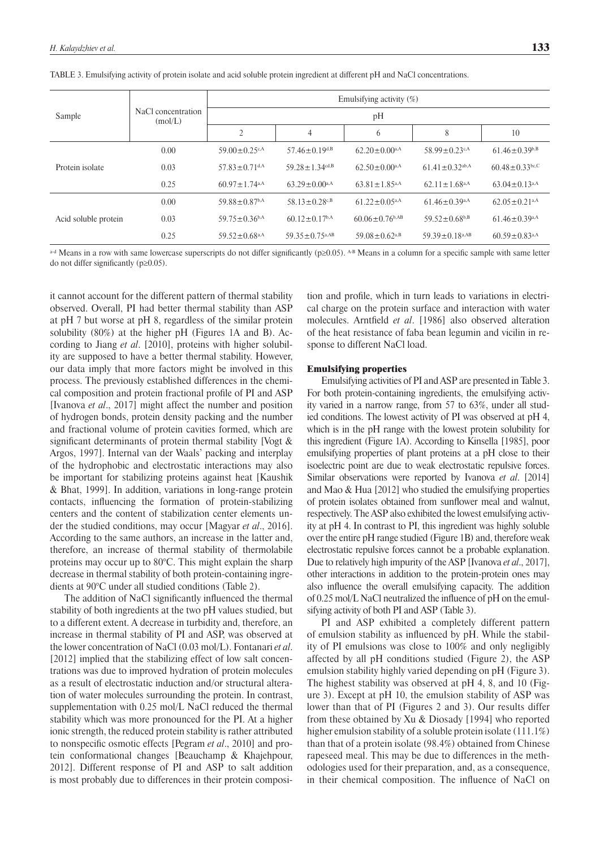| Sample               | NaCl concentration<br>(mol/L) | Emulsifying activity $(\%)$     |                                  |                                  |                                  |                                 |  |
|----------------------|-------------------------------|---------------------------------|----------------------------------|----------------------------------|----------------------------------|---------------------------------|--|
|                      |                               | pH                              |                                  |                                  |                                  |                                 |  |
|                      |                               | $\overline{2}$                  | $\overline{4}$                   | 6                                | 8                                | 10                              |  |
| Protein isolate      | 0.00                          | 59.00 $\pm$ 0.25 $c$ A          | $57.46 \pm 0.19$ <sup>d,B</sup>  | $62.20 \pm 0.00$ <sup>a,A</sup>  | 58.99 $\pm$ 0.23 $c$ A           | $61.46 \pm 0.39^{b,B}$          |  |
|                      | 0.03                          | $57.83 \pm 0.71$ <sup>d,A</sup> | $59.28 \pm 1.34$ <sup>cd,B</sup> | $62.50 \pm 0.00$ <sup>a,A</sup>  | $61.41 \pm 0.32$ <sup>ab,A</sup> | $60.48 \pm 0.33$ bc,C           |  |
|                      | 0.25                          | $60.97 \pm 1.74$ <sup>a,A</sup> | $63.29 \pm 0.00$ <sup>a,A</sup>  | $63.81 \pm 1.85$ <sup>a,A</sup>  | $62.11 \pm 1.68$ <sup>a,A</sup>  | $63.04 \pm 0.13$ <sup>a,A</sup> |  |
| Acid soluble protein | 0.00                          | $59.88 \pm 0.87$ <sup>b,A</sup> | 58.13 $\pm$ 0.28 <sup>c,B</sup>  | $61.22 \pm 0.05$ <sub>a</sub> A  | $61.46 \pm 0.39$ <sup>a,A</sup>  | $62.05 \pm 0.21$ <sup>a,A</sup> |  |
|                      | 0.03                          | $59.75 \pm 0.36$ <sup>b,A</sup> | $60.12 \pm 0.17$ <sup>b,A</sup>  | $60.06 \pm 0.76$ <sup>b,AB</sup> | $59.52 \pm 0.68^{b,B}$           | $61.46 \pm 0.39$ <sup>a,A</sup> |  |
|                      | 0.25                          | $59.52 \pm 0.68$ <sup>a,A</sup> | $59.35 \pm 0.75$ <sub>a</sub> AB | $59.08 \pm 0.62$ <sup>a,B</sup>  | 59.39 $\pm$ 0.18 <sup>a,AB</sup> | $60.59 \pm 0.83$ <sup>a,A</sup> |  |

TABLE 3. Emulsifying activity of protein isolate and acid soluble protein ingredient at different pH and NaCl concentrations.

a-d Means in a row with same lowercase superscripts do not differ significantly (p≥0.05). A-B Means in a column for a specific sample with same letter do not differ significantly ( $p\geq 0.05$ ).

it cannot account for the different pattern of thermal stability observed. Overall, PI had better thermal stability than ASP at pH 7 but worse at pH 8, regardless of the similar protein solubility (80%) at the higher pH (Figures 1A and B). According to Jiang *et al*. [2010], proteins with higher solubility are supposed to have a better thermal stability. However, our data imply that more factors might be involved in this process. The previously established differences in the chemical composition and protein fractional profile of PI and ASP [Ivanova *et al*., 2017] might affect the number and position of hydrogen bonds, protein density packing and the number and fractional volume of protein cavities formed, which are significant determinants of protein thermal stability [Vogt  $\&$ Argos, 1997]. Internal van der Waals' packing and interplay of the hydrophobic and electrostatic interactions may also be important for stabilizing proteins against heat [Kaushik & Bhat, 1999]. In addition, variations in long-range protein contacts, influencing the formation of protein-stabilizing centers and the content of stabilization center elements under the studied conditions, may occur [Magyar *et al*., 2016]. According to the same authors, an increase in the latter and, therefore, an increase of thermal stability of thermolabile proteins may occur up to 80°C. This might explain the sharp decrease in thermal stability of both protein-containing ingredients at 90°C under all studied conditions (Table 2).

The addition of NaCl significantly influenced the thermal stability of both ingredients at the two pH values studied, but to a different extent. A decrease in turbidity and, therefore, an increase in thermal stability of PI and ASP, was observed at the lower concentration of NaCl (0.03 mol/L). Fontanari *et al*. [2012] implied that the stabilizing effect of low salt concentrations was due to improved hydration of protein molecules as a result of electrostatic induction and/or structural alteration of water molecules surrounding the protein. In contrast, supplementation with 0.25 mol/L NaCl reduced the thermal stability which was more pronounced for the PI. At a higher ionic strength, the reduced protein stability is rather attributed to nonspecific osmotic effects [Pegram *et al.*, 2010] and protein conformational changes [Beauchamp & Khajehpour, 2012]. Different response of PI and ASP to salt addition is most probably due to differences in their protein composition and profile, which in turn leads to variations in electrical charge on the protein surface and interaction with water molecules. Arntfield *et al.* [1986] also observed alteration of the heat resistance of faba bean legumin and vicilin in response to different NaCl load.

#### Emulsifying properties

Emulsifying activities of PI and ASP are presented in Table 3. For both protein-containing ingredients, the emulsifying activity varied in a narrow range, from 57 to 63%, under all studied conditions. The lowest activity of PI was observed at pH 4, which is in the pH range with the lowest protein solubility for this ingredient (Figure 1A). According to Kinsella [1985], poor emulsifying properties of plant proteins at a pH close to their isoelectric point are due to weak electrostatic repulsive forces. Similar observations were reported by Ivanova *et al*. [2014] and Mao & Hua [2012] who studied the emulsifying properties of protein isolates obtained from sunflower meal and walnut, respectively. The ASP also exhibited the lowest emulsifying activity at pH 4. In contrast to PI, this ingredient was highly soluble over the entire pH range studied (Figure 1B) and, therefore weak electrostatic repulsive forces cannot be a probable explanation. Due to relatively high impurity of the ASP [Ivanova *et al*., 2017], other interactions in addition to the protein-protein ones may also influence the overall emulsifying capacity. The addition of  $0.25$  mol/L NaCl neutralized the influence of pH on the emulsifying activity of both PI and ASP (Table 3).

PI and ASP exhibited a completely different pattern of emulsion stability as influenced by pH. While the stability of PI emulsions was close to 100% and only negligibly affected by all pH conditions studied (Figure 2), the ASP emulsion stability highly varied depending on pH (Figure 3). The highest stability was observed at pH 4, 8, and 10 (Figure 3). Except at pH 10, the emulsion stability of ASP was lower than that of PI (Figures 2 and 3). Our results differ from these obtained by Xu & Diosady [1994] who reported higher emulsion stability of a soluble protein isolate (111.1%) than that of a protein isolate (98.4%) obtained from Chinese rapeseed meal. This may be due to differences in the methodologies used for their preparation, and, as a consequence, in their chemical composition. The influence of NaCl on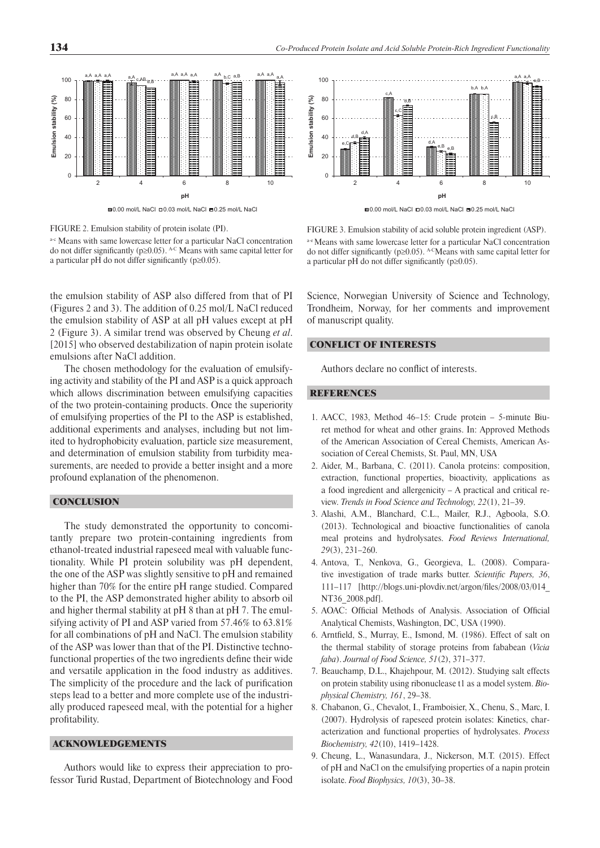

FIGURE 2. Emulsion stability of protein isolate (PI).

a-c Means with same lowercase letter for a particular NaCl concentration do not differ significantly ( $p\geq 0.05$ ). A-C Means with same capital letter for a particular pH do not differ significantly ( $p\geq 0.05$ ).

the emulsion stability of ASP also differed from that of PI (Figures 2 and 3). The addition of 0.25 mol/L NaCl reduced the emulsion stability of ASP at all pH values except at pH 2 (Figure 3). A similar trend was observed by Cheung *et al*. [2015] who observed destabilization of napin protein isolate emulsions after NaCl addition.

The chosen methodology for the evaluation of emulsifying activity and stability of the PI and ASP is a quick approach which allows discrimination between emulsifying capacities of the two protein-containing products. Once the superiority of emulsifying properties of the PI to the ASP is established, additional experiments and analyses, including but not limited to hydrophobicity evaluation, particle size measurement, and determination of emulsion stability from turbidity measurements, are needed to provide a better insight and a more profound explanation of the phenomenon.

# **CONCLUSION**

The study demonstrated the opportunity to concomitantly prepare two protein-containing ingredients from ethanol-treated industrial rapeseed meal with valuable functionality. While PI protein solubility was pH dependent, the one of the ASP was slightly sensitive to pH and remained higher than 70% for the entire pH range studied. Compared to the PI, the ASP demonstrated higher ability to absorb oil and higher thermal stability at pH 8 than at pH 7. The emulsifying activity of PI and ASP varied from 57.46% to 63.81% for all combinations of pH and NaCl. The emulsion stability of the ASP was lower than that of the PI. Distinctive technofunctional properties of the two ingredients define their wide and versatile application in the food industry as additives. The simplicity of the procedure and the lack of purification steps lead to a better and more complete use of the industrially produced rapeseed meal, with the potential for a higher profitability.

# ACKNOWLEDGEMENTS

Authors would like to express their appreciation to professor Turid Rustad, Department of Biotechnology and Food



FIGURE 3. Emulsion stability of acid soluble protein ingredient (ASP). a-e Means with same lowercase letter for a particular NaCl concentration do not differ significantly ( $p\geq 0.05$ ). A-CMeans with same capital letter for

Science, Norwegian University of Science and Technology, Trondheim, Norway, for her comments and improvement of manuscript quality.

### CONFLICT OF INTERESTS

Authors declare no conflict of interests.

a particular pH do not differ significantly ( $p\geq0.05$ ).

# **REFERENCES**

- 1. AACC, 1983, Method 46–15: Crude protein 5-minute Biuret method for wheat and other grains. In: Approved Methods of the American Association of Cereal Chemists, American Association of Cereal Chemists, St. Paul, MN, USA
- 2. Aider, M., Barbana, C. (2011). Canola proteins: composition, extraction, functional properties, bioactivity, applications as a food ingredient and allergenicity – A practical and critical review. *Trends in Food Science and Technology, 22*(1), 21–39.
- 3. Alashi, A.M., Blanchard, C.L., Mailer, R.J., Agboola, S.O. (2013). Technological and bioactive functionalities of canola meal proteins and hydrolysates. *Food Reviews International, 29*(3), 231–260.
- 4. Antova, T., Nenkova, G., Georgieva, L. (2008). Comparative investigation of trade marks butter. *Scientific Papers*, 36,  $111-117$  [http://blogs.uni-plovdiv.net/argon/files/2008/03/014 NT36\_2008.pdf].
- 5. AOAC: Official Methods of Analysis. Association of Official Analytical Chemists, Washington, DC, USA (1990).
- 6. Arntfield, S., Murray, E., Ismond, M. (1986). Effect of salt on the thermal stability of storage proteins from fababean (*Vicia faba*). *Journal of Food Science, 51*(2), 371–377.
- 7. Beauchamp, D.L., Khajehpour, M. (2012). Studying salt effects on protein stability using ribonuclease t1 as a model system. *Biophysical Chemistry, 161*, 29–38.
- 8. Chabanon, G., Chevalot, I., Framboisier, X., Chenu, S., Marc, I. (2007). Hydrolysis of rapeseed protein isolates: Kinetics, characterization and functional properties of hydrolysates. *Process Biochemistry, 42*(10), 1419–1428.
- 9. Cheung, L., Wanasundara, J., Nickerson, M.T. (2015). Effect of pH and NaCl on the emulsifying properties of a napin protein isolate. *Food Biophysics, 10*(3), 30–38.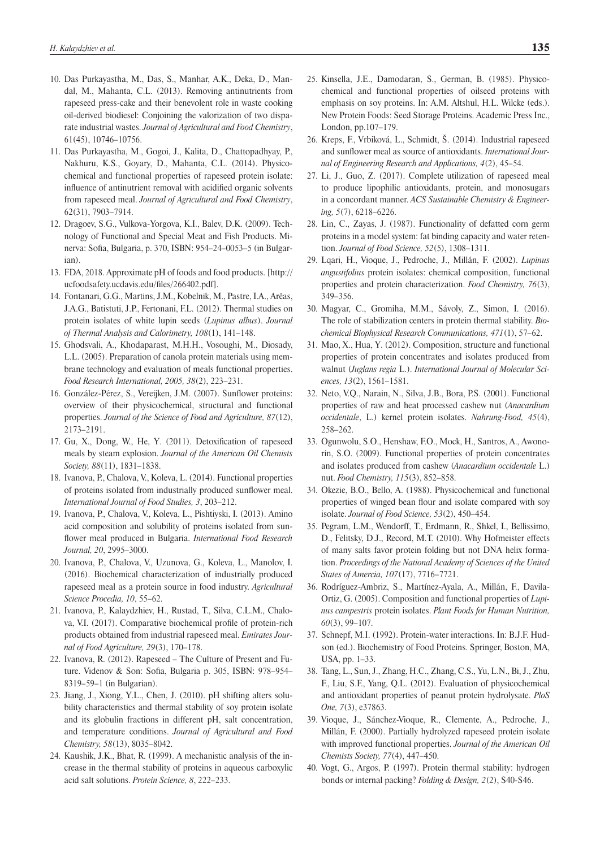- 10. Das Purkayastha, M., Das, S., Manhar, A.K., Deka, D., Mandal, M., Mahanta, C.L. (2013). Removing antinutrients from rapeseed press-cake and their benevolent role in waste cooking oil-derived biodiesel: Conjoining the valorization of two disparate industrial wastes. *Journal of Agricultural and Food Chemistry*, 61(45), 10746–10756.
- 11. Das Purkayastha, M., Gogoi, J., Kalita, D., Chattopadhyay, P., Nakhuru, K.S., Goyary, D., Mahanta, C.L. (2014). Physicochemical and functional properties of rapeseed protein isolate: influence of antinutrient removal with acidified organic solvents from rapeseed meal. *Journal of Agricultural and Food Chemistry*, 62(31), 7903–7914.
- 12. Dragoev, S.G., Vulkova-Yorgova, K.I., Balev, D.K. (2009). Technology of Functional and Special Meat and Fish Products. Minerva: Sofia, Bulgaria, p. 370, ISBN: 954-24-0053-5 (in Bulgarian).
- 13. FDA, 2018. Approximate pH of foods and food products. [http:// ucfoodsafety.ucdavis.edu/files/266402.pdf].
- 14. Fontanari, G.G., Martins, J.M., Kobelnik, M., Pastre, I.A., Arêas, J.A.G., Batistuti, J.P., Fertonani, F.L. (2012). Thermal studies on protein isolates of white lupin seeds (*Lupinus albus*). *Journal of Thermal Analysis and Calorimetry, 108*(1), 141–148.
- 15. Ghodsvali, A., Khodaparast, M.H.H., Vosoughi, M., Diosady, L.L. (2005). Preparation of canola protein materials using membrane technology and evaluation of meals functional properties. *Food Research International, 2005, 38*(2), 223–231.
- 16. González-Pérez, S., Vereijken, J.M. (2007). Sunflower proteins: overview of their physicochemical, structural and functional properties. *Journal of the Science of Food and Agriculture, 87*(12), 2173–2191.
- 17. Gu, X., Dong, W., He, Y. (2011). Detoxification of rapeseed meals by steam explosion. *Journal of the American Oil Chemists Society, 88*(11), 1831–1838.
- 18. Ivanova, P., Chalova, V., Koleva, L. (2014). Functional properties of proteins isolated from industrially produced sunflower meal. *International Journal of Food Studies, 3*, 203–212.
- 19. Ivanova, P., Chalova, V., Koleva, L., Pishtiyski, I. (2013). Amino acid composition and solubility of proteins isolated from sunflower meal produced in Bulgaria. *International Food Research Journal, 20*, 2995–3000.
- 20. Ivanova, P., Chalova, V., Uzunova, G., Koleva, L., Manolov, I. (2016). Biochemical characterization of industrially produced rapeseed meal as a protein source in food industry. *Agricultural Science Procedia, 10*, 55–62.
- 21. Ivanova, P., Kalaydzhiev, H., Rustad, T., Silva, C.L.M., Chalova, V.I. (2017). Comparative biochemical profile of protein-rich products obtained from industrial rapeseed meal. *Emirates Journal of Food Agriculture, 29*(3), 170–178.
- 22. Ivanova, R. (2012). Rapeseed The Culture of Present and Future. Videnov & Son: Sofia, Bulgaria p. 305, ISBN: 978-954-8319–59–1 (in Bulgarian).
- 23. Jiang, J., Xiong, Y.L., Chen, J. (2010). pH shifting alters solubility characteristics and thermal stability of soy protein isolate and its globulin fractions in different pH, salt concentration, and temperature conditions. *Journal of Agricultural and Food Chemistry, 58*(13), 8035–8042.
- 24. Kaushik, J.K., Bhat, R. (1999). A mechanistic analysis of the increase in the thermal stability of proteins in aqueous carboxylic acid salt solutions. *Protein Science, 8*, 222–233.
- 25. Kinsella, J.E., Damodaran, S., German, B. (1985). Physicochemical and functional properties of oilseed proteins with emphasis on soy proteins. In: A.M. Altshul, H.L. Wilcke (eds.). New Protein Foods: Seed Storage Proteins. Academic Press Inc., London, pp.107–179.
- 26. Kreps, F., Vrbiková, L., Schmidt, Š. (2014). Industrial rapeseed and sunflower meal as source of antioxidants. *International Journal of Engineering Research and Applications, 4*(2), 45–54.
- 27. Li, J., Guo, Z. (2017). Complete utilization of rapeseed meal to produce lipophilic antioxidants, protein, and monosugars in a concordant manner. *ACS Sustainable Chemistry & Engineering, 5*(7), 6218–6226.
- 28. Lin, C., Zayas, J. (1987). Functionality of defatted corn germ proteins in a model system: fat binding capacity and water retention. *Journal of Food Science, 52*(5), 1308–1311.
- 29. Lqari, H., Vioque, J., Pedroche, J., Millán, F. (2002). *Lupinus angustifolius* protein isolates: chemical composition, functional properties and protein characterization. *Food Chemistry, 76*(3), 349–356.
- 30. Magyar, C., Gromiha, M.M., Sávoly, Z., Simon, I. (2016). The role of stabilization centers in protein thermal stability. *Biochemical Biophysical Research Communications, 471*(1), 57–62.
- 31. Mao, X., Hua, Y. (2012). Composition, structure and functional properties of protein concentrates and isolates produced from walnut (*Juglans regia* L.). *International Journal of Molecular Sciences, 13*(2), 1561–1581.
- 32. Neto, V.Q., Narain, N., Silva, J.B., Bora, P.S. (2001). Functional properties of raw and heat processed cashew nut (*Anacardium occidentale*, L.) kernel protein isolates. *Nahrung-Food, 45*(4), 258–262.
- 33. Ogunwolu, S.O., Henshaw, F.O., Mock, H., Santros, A., Awonorin, S.O. (2009). Functional properties of protein concentrates and isolates produced from cashew (*Anacardium occidentale* L.) nut. *Food Chemistry, 115*(3), 852–858.
- 34. Okezie, B.O., Bello, A. (1988). Physicochemical and functional properties of winged bean flour and isolate compared with soy isolate. *Journal of Food Science, 53*(2), 450–454.
- 35. Pegram, L.M., Wendorff, T., Erdmann, R., Shkel, I., Bellissimo, D., Felitsky, D.J., Record, M.T. (2010). Why Hofmeister effects of many salts favor protein folding but not DNA helix formation. *Proceedings of the National Academy of Sciences of the United States of Amercia, 107*(17), 7716–7721.
- 36. Rodríguez-Ambriz, S., Martínez-Ayala, A., Millán, F., Davila-Ortiz, G. (2005). Composition and functional properties of *Lupinus campestris* protein isolates. *Plant Foods for Human Nutrition, 60*(3), 99–107.
- 37. Schnepf, M.I. (1992). Protein-water interactions. In: B.J.F. Hudson (ed.). Biochemistry of Food Proteins. Springer, Boston, MA, USA, pp. 1–33.
- 38. Tang, L., Sun, J., Zhang, H.C., Zhang, C.S., Yu, L.N., Bi, J., Zhu, F., Liu, S.F., Yang, Q.L. (2012). Evaluation of physicochemical and antioxidant properties of peanut protein hydrolysate. *PloS One, 7*(3), e37863.
- 39. Vioque, J., Sánchez-Vioque, R., Clemente, A., Pedroche, J., Millán, F. (2000). Partially hydrolyzed rapeseed protein isolate with improved functional properties. *Journal of the American Oil Chemists Society, 77*(4), 447–450.
- 40. Vogt, G., Argos, P. (1997). Protein thermal stability: hydrogen bonds or internal packing? *Folding & Design, 2*(2), S40-S46.